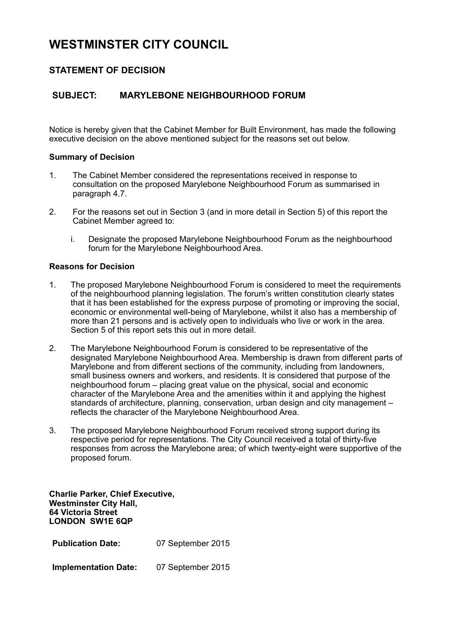# **WESTMINSTER CITY COUNCIL**

## **STATEMENT OF DECISION**

## **SUBJECT: MARYLEBONE NEIGHBOURHOOD FORUM**

Notice is hereby given that the Cabinet Member for Built Environment, has made the following executive decision on the above mentioned subject for the reasons set out below.

### **Summary of Decision**

- 1. The Cabinet Member considered the representations received in response to consultation on the proposed Marylebone Neighbourhood Forum as summarised in paragraph 4.7.
- 2. For the reasons set out in Section 3 (and in more detail in Section 5) of this report the Cabinet Member agreed to:
	- i. Designate the proposed Marylebone Neighbourhood Forum as the neighbourhood forum for the Marylebone Neighbourhood Area.

### **Reasons for Decision**

- 1. The proposed Marylebone Neighbourhood Forum is considered to meet the requirements of the neighbourhood planning legislation. The forum's written constitution clearly states that it has been established for the express purpose of promoting or improving the social, economic or environmental well-being of Marylebone, whilst it also has a membership of more than 21 persons and is actively open to individuals who live or work in the area. Section 5 of this report sets this out in more detail.
- 2. The Marylebone Neighbourhood Forum is considered to be representative of the designated Marylebone Neighbourhood Area. Membership is drawn from different parts of Marylebone and from different sections of the community, including from landowners, small business owners and workers, and residents. It is considered that purpose of the neighbourhood forum – placing great value on the physical, social and economic character of the Marylebone Area and the amenities within it and applying the highest standards of architecture, planning, conservation, urban design and city management – reflects the character of the Marylebone Neighbourhood Area.
- 3. The proposed Marylebone Neighbourhood Forum received strong support during its respective period for representations. The City Council received a total of thirty-five responses from across the Marylebone area; of which twenty-eight were supportive of the proposed forum.

**Charlie Parker, Chief Executive, Westminster City Hall, 64 Victoria Street LONDON SW1E 6QP**

**Publication Date:** 07 September 2015

**Implementation Date:** 07 September 2015